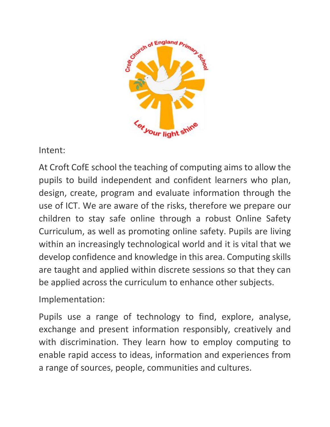

Intent:

At Croft CofE school the teaching of computing aims to allow the pupils to build independent and confident learners who plan, design, create, program and evaluate information through the use of ICT. We are aware of the risks, therefore we prepare our children to stay safe online through a robust Online Safety Curriculum, as well as promoting online safety. Pupils are living within an increasingly technological world and it is vital that we develop confidence and knowledge in this area. Computing skills are taught and applied within discrete sessions so that they can be applied across the curriculum to enhance other subjects.

Implementation:

Pupils use a range of technology to find, explore, analyse, exchange and present information responsibly, creatively and with discrimination. They learn how to employ computing to enable rapid access to ideas, information and experiences from a range of sources, people, communities and cultures.